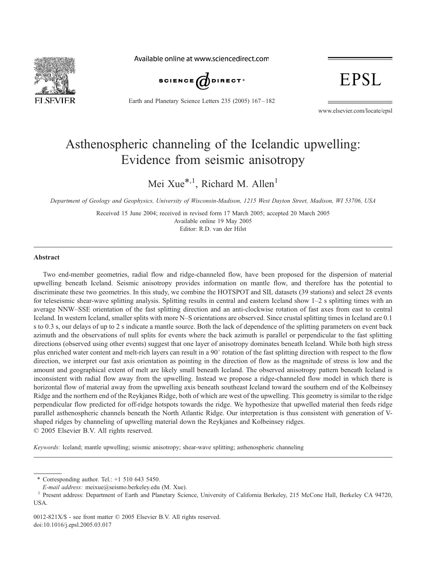

Available online at www.sciencedirect.com



Earth and Planetary Science Letters 235 (2005) 167-182

EPSL

www.elsevier.com/locate/epsl

# Asthenospheric channeling of the Icelandic upwelling: Evidence from seismic anisotropy

Mei Xue<sup>\*,1</sup>, Richard M. Allen<sup>1</sup>

Department of Geology and Geophysics, University of Wisconsin-Madison, 1215 West Dayton Street, Madison, WI 53706, USA

Received 15 June 2004; received in revised form 17 March 2005; accepted 20 March 2005 Available online 19 May 2005 Editor: R.D. van der Hilst

#### **Abstract**

Two end-member geometries, radial flow and ridge-channeled flow, have been proposed for the dispersion of material upwelling beneath Iceland. Seismic anisotropy provides information on mantle flow, and therefore has the potential to discriminate these two geometries. In this study, we combine the HOTSPOT and SIL datasets (39 stations) and select 28 events for teleseismic shear-wave splitting analysis. Splitting results in central and eastern Iceland show 1–2 s splitting times with an average NNW–SSE orientation of the fast splitting direction and an anti-clockwise rotation of fast axes from east to central Iceland. In western Iceland, smaller splits with more N–S orientations are observed. Since crustal splitting times in Iceland are 0.1 s to 0.3 s, our delays of up to 2 s indicate a mantle source. Both the lack of dependence of the splitting parameters on event back azimuth and the observations of null splits for events where the back azimuth is parallel or perpendicular to the fast splitting directions (observed using other events) suggest that one layer of anisotropy dominates beneath Iceland. While both high stress plus enriched water content and melt-rich layers can result in a 90° rotation of the fast splitting direction with respect to the flow direction, we interpret our fast axis orientation as pointing in the direction of flow as the magnitude of stress is low and the amount and geographical extent of melt are likely small beneath Iceland. The observed anisotropy pattern beneath Iceland is inconsistent with radial flow away from the upwelling. Instead we propose a ridge-channeled flow model in which there is horizontal flow of material away from the upwelling axis beneath southeast Iceland toward the southern end of the Kolbeinsey Ridge and the northern end of the Reykjanes Ridge, both of which are west of the upwelling. This geometry is similar to the ridge perpendicular flow predicted for off-ridge hotspots towards the ridge. We hypothesize that upwelled material then feeds ridge parallel asthenospheric channels beneath the North Atlantic Ridge. Our interpretation is thus consistent with generation of Vshaped ridges by channeling of upwelling material down the Reykjanes and Kolbeinsey ridges.  $\odot$  2005 Elsevier B.V. All rights reserved.

Keywords: Iceland; mantle upwelling; seismic anisotropy; shear-wave splitting; asthenospheric channeling

<sup>\*</sup> Corresponding author. Tel.: +1 510 643 5450.

E-mail address: meixue@seismo.berkeley.edu (M. Xue).<br><sup>1</sup> Present address: Department of Earth and Planetary Science, University of California Berkeley, 215 McCone Hall, Berkeley CA 94720, USA.

<sup>0012-821</sup> $X/S$  - see front matter  $\odot$  2005 Elsevier B.V. All rights reserved. doi:10.1016/j.epsl.2005.03.017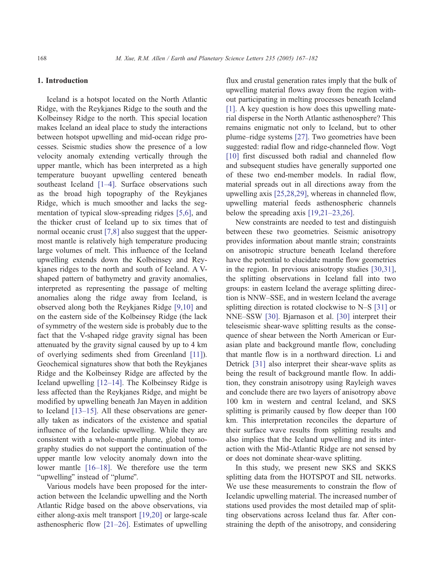## 1. Introduction

Iceland is a hotspot located on the North Atlantic Ridge, with the Reykjanes Ridge to the south and the Kolbeinsey Ridge to the north. This special location makes Iceland an ideal place to study the interactions between hotspot upwelling and mid-ocean ridge processes. Seismic studies show the presence of a low velocity anomaly extending vertically through the upper mantle, which has been interpreted as a high temperature buoyant upwelling centered beneath southeast Iceland [\[1–4\].](#page-13-0) Surface observations such as the broad high topography of the Reykjanes Ridge, which is much smoother and lacks the segmentation of typical slow-spreading ridges [\[5,6\],](#page-13-0) and the thicker crust of Iceland up to six times that of normal oceanic crust [\[7,8\]](#page-13-0) also suggest that the uppermost mantle is relatively high temperature producing large volumes of melt. This influence of the Iceland upwelling extends down the Kolbeinsey and Reykjanes ridges to the north and south of Iceland. A Vshaped pattern of bathymetry and gravity anomalies, interpreted as representing the passage of melting anomalies along the ridge away from Iceland, is observed along both the Reykjanes Ridge [\[9,10\]](#page-13-0) and on the eastern side of the Kolbeinsey Ridge (the lack of symmetry of the western side is probably due to the fact that the V-shaped ridge gravity signal has been attenuated by the gravity signal caused by up to 4 km of overlying sediments shed from Greenland [\[11\]\)](#page-13-0). Geochemical signatures show that both the Reykjanes Ridge and the Kolbeinsey Ridge are affected by the Iceland upwelling [\[12–14\].](#page-14-0) The Kolbeinsey Ridge is less affected than the Reykjanes Ridge, and might be modified by upwelling beneath Jan Mayen in addition to Iceland [\[13–15\].](#page-14-0) All these observations are generally taken as indicators of the existence and spatial influence of the Icelandic upwelling. While they are consistent with a whole-mantle plume, global tomography studies do not support the continuation of the upper mantle low velocity anomaly down into the lower mantle [\[16–18\].](#page-14-0) We therefore use the term "upwelling" instead of "plume".

Various models have been proposed for the interaction between the Icelandic upwelling and the North Atlantic Ridge based on the above observations, via either along-axis melt transport [\[19,20\]](#page-14-0) or large-scale asthenospheric flow [\[21–26\].](#page-14-0) Estimates of upwelling flux and crustal generation rates imply that the bulk of upwelling material flows away from the region without participating in melting processes beneath Iceland [\[1\].](#page-13-0) A key question is how does this upwelling material disperse in the North Atlantic asthenosphere? This remains enigmatic not only to Iceland, but to other plume–ridge systems [\[27\].](#page-14-0) Two geometries have been suggested: radial flow and ridge-channeled flow. Vogt [\[10\]](#page-13-0) first discussed both radial and channeled flow and subsequent studies have generally supported one of these two end-member models. In radial flow, material spreads out in all directions away from the upwelling axis [\[25,28,29\],](#page-14-0) whereas in channeled flow, upwelling material feeds asthenospheric channels below the spreading axis [\[19,21–23,26\].](#page-14-0)

New constraints are needed to test and distinguish between these two geometries. Seismic anisotropy provides information about mantle strain; constraints on anisotropic structure beneath Iceland therefore have the potential to elucidate mantle flow geometries in the region. In previous anisotropy studies [\[30,31\],](#page-14-0) the splitting observations in Iceland fall into two groups: in eastern Iceland the average splitting direction is NNW–SSE, and in western Iceland the average splitting direction is rotated clockwise to N–S [\[31\]](#page-14-0) or NNE–SSW [\[30\].](#page-14-0) Bjarnason et al. [\[30\]](#page-14-0) interpret their teleseismic shear-wave splitting results as the consequence of shear between the North American or Eurasian plate and background mantle flow, concluding that mantle flow is in a northward direction. Li and Detrick [\[31\]](#page-14-0) also interpret their shear-wave splits as being the result of background mantle flow. In addition, they constrain anisotropy using Rayleigh waves and conclude there are two layers of anisotropy above 100 km in western and central Iceland, and SKS splitting is primarily caused by flow deeper than 100 km. This interpretation reconciles the departure of their surface wave results from splitting results and also implies that the Iceland upwelling and its interaction with the Mid-Atlantic Ridge are not sensed by or does not dominate shear-wave splitting.

In this study, we present new SKS and SKKS splitting data from the HOTSPOT and SIL networks. We use these measurements to constrain the flow of Icelandic upwelling material. The increased number of stations used provides the most detailed map of splitting observations across Iceland thus far. After constraining the depth of the anisotropy, and considering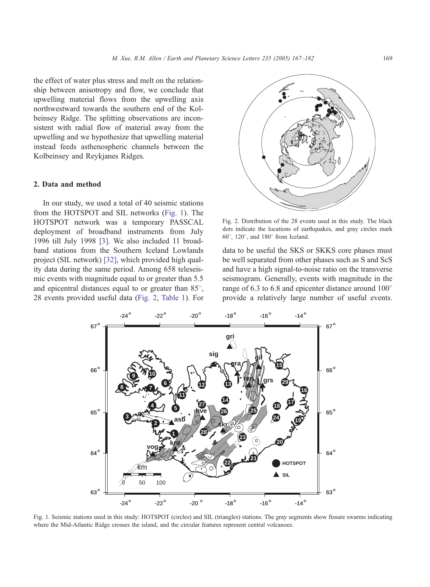<span id="page-2-0"></span>the effect of water plus stress and melt on the relationship between anisotropy and flow, we conclude that upwelling material flows from the upwelling axis northwestward towards the southern end of the Kolbeinsey Ridge. The splitting observations are inconsistent with radial flow of material away from the upwelling and we hypothesize that upwelling material instead feeds asthenospheric channels between the Kolbeinsey and Reykjanes Ridges.

#### 2. Data and method

In our study, we used a total of 40 seismic stations from the HOTSPOT and SIL networks (Fig. 1). The HOTSPOT network was a temporary PASSCAL deployment of broadband instruments from July 1996 till July 1998 [\[3\].](#page-13-0) We also included 11 broadband stations from the Southern Iceland Lowlands project (SIL network) [\[32\],](#page-14-0) which provided high quality data during the same period. Among 658 teleseismic events with magnitude equal to or greater than 5.5 and epicentral distances equal to or greater than  $85^\circ$ , 28 events provided useful data (Fig. 2, [Table 1\)](#page-3-0). For



Fig. 2. Distribution of the 28 events used in this study. The black dots indicate the locations of earthquakes, and gray circles mark  $60^\circ$ ,  $120^\circ$ , and  $180^\circ$  from Iceland.

data to be useful the SKS or SKKS core phases must be well separated from other phases such as S and ScS and have a high signal-to-noise ratio on the transverse seismogram. Generally, events with magnitude in the range of 6.3 to 6.8 and epicenter distance around  $100^\circ$ provide a relatively large number of useful events.



Fig. 1. Seismic stations used in this study: HOTSPOT (circles) and SIL (triangles) stations. The gray segments show fissure swarms indicating where the Mid-Atlantic Ridge crosses the island, and the circular features represent central volcanoes.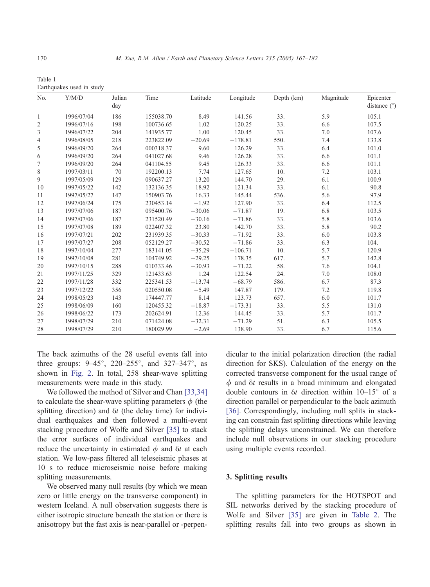<span id="page-3-0"></span>

| Table 1                   |  |  |
|---------------------------|--|--|
| Earthquakes used in study |  |  |

| No.            | Y/M/D      | Julian<br>day | Time      | Latitude | Longitude | Depth (km) | Magnitude | Epicenter<br>distance $(°)$ |
|----------------|------------|---------------|-----------|----------|-----------|------------|-----------|-----------------------------|
| 1              | 1996/07/04 | 186           | 155038.70 | 8.49     | 141.56    | 33.        | 5.9       | 105.1                       |
| $\overline{c}$ | 1996/07/16 | 198           | 100736.65 | 1.02     | 120.25    | 33.        | 6.6       | 107.5                       |
| 3              | 1996/07/22 | 204           | 141935.77 | 1.00     | 120.45    | 33.        | 7.0       | 107.6                       |
| 4              | 1996/08/05 | 218           | 223822.09 | $-20.69$ | $-178.81$ | 550.       | 7.4       | 133.8                       |
| 5              | 1996/09/20 | 264           | 000318.37 | 9.60     | 126.29    | 33.        | 6.4       | 101.0                       |
| 6              | 1996/09/20 | 264           | 041027.68 | 9.46     | 126.28    | 33.        | 6.6       | 101.1                       |
| 7              | 1996/09/20 | 264           | 041104.55 | 9.45     | 126.33    | 33.        | 6.6       | 101.1                       |
| 8              | 1997/03/11 | 70            | 192200.13 | 7.74     | 127.65    | 10.        | 7.2       | 103.1                       |
| 9              | 1997/05/09 | 129           | 090637.27 | 13.20    | 144.70    | 29.        | 6.1       | 100.9                       |
| 10             | 1997/05/22 | 142           | 132136.35 | 18.92    | 121.34    | 33.        | 6.1       | 90.8                        |
| 11             | 1997/05/27 | 147           | 150903.76 | 16.33    | 145.44    | 536.       | 5.6       | 97.9                        |
| 12             | 1997/06/24 | 175           | 230453.14 | $-1.92$  | 127.90    | 33.        | 6.4       | 112.5                       |
| 13             | 1997/07/06 | 187           | 095400.76 | $-30.06$ | $-71.87$  | 19.        | 6.8       | 103.5                       |
| 14             | 1997/07/06 | 187           | 231520.49 | $-30.16$ | $-71.86$  | 33.        | 5.8       | 103.6                       |
| 15             | 1997/07/08 | 189           | 022407.32 | 23.80    | 142.70    | 33.        | 5.8       | 90.2                        |
| 16             | 1997/07/21 | 202           | 231939.35 | $-30.33$ | $-71.92$  | 33.        | 6.0       | 103.8                       |
| 17             | 1997/07/27 | 208           | 052129.27 | $-30.52$ | $-71.86$  | 33.        | 6.3       | 104.                        |
| 18             | 1997/10/04 | 277           | 183141.05 | $-35.29$ | $-106.71$ | 10.        | 5.7       | 120.9                       |
| 19             | 1997/10/08 | 281           | 104749.92 | $-29.25$ | 178.35    | 617.       | 5.7       | 142.8                       |
| 20             | 1997/10/15 | 288           | 010333.46 | $-30.93$ | $-71.22$  | 58.        | 7.6       | 104.1                       |
| 21             | 1997/11/25 | 329           | 121433.63 | 1.24     | 122.54    | 24.        | 7.0       | 108.0                       |
| 22             | 1997/11/28 | 332           | 225341.53 | $-13.74$ | $-68.79$  | 586.       | 6.7       | 87.3                        |
| 23             | 1997/12/22 | 356           | 020550.08 | $-5.49$  | 147.87    | 179.       | 7.2       | 119.8                       |
| 24             | 1998/05/23 | 143           | 174447.77 | 8.14     | 123.73    | 657.       | 6.0       | 101.7                       |
| 25             | 1998/06/09 | 160           | 120455.32 | $-18.87$ | $-173.31$ | 33.        | 5.5       | 131.0                       |
| 26             | 1998/06/22 | 173           | 202624.91 | 12.36    | 144.45    | 33.        | 5.7       | 101.7                       |
| 27             | 1998/07/29 | 210           | 071424.08 | $-32.31$ | $-71.29$  | 51.        | 6.3       | 105.5                       |
| 28             | 1998/07/29 | 210           | 180029.99 | $-2.69$  | 138.90    | 33.        | 6.7       | 115.6                       |

The back azimuths of the 28 useful events fall into three groups:  $9-45^{\circ}$ ,  $220-255^{\circ}$ , and  $327-347^{\circ}$ , as shown in [Fig. 2.](#page-2-0) In total, 258 shear-wave splitting measurements were made in this study.

We followed the method of Silver and Chan [\[33,34\]](#page-14-0) to calculate the shear-wave splitting parameters  $\phi$  (the splitting direction) and  $\delta t$  (the delay time) for individual earthquakes and then followed a multi-event stacking procedure of Wolfe and Silver [\[35\]](#page-14-0) to stack the error surfaces of individual earthquakes and reduce the uncertainty in estimated  $\phi$  and  $\delta t$  at each station. We low-pass filtered all teleseismic phases at 10 s to reduce microseismic noise before making splitting measurements.

We observed many null results (by which we mean zero or little energy on the transverse component) in western Iceland. A null observation suggests there is either isotropic structure beneath the station or there is anisotropy but the fast axis is near-parallel or -perpendicular to the initial polarization direction (the radial direction for SKS). Calculation of the energy on the corrected transverse component for the usual range of  $\phi$  and  $\delta t$  results in a broad minimum and elongated double contours in  $\delta t$  direction within 10–15° of a direction parallel or perpendicular to the back azimuth [\[36\].](#page-14-0) Correspondingly, including null splits in stacking can constrain fast splitting directions while leaving the splitting delays unconstrained. We can therefore include null observations in our stacking procedure using multiple events recorded.

#### 3. Splitting results

The splitting parameters for the HOTSPOT and SIL networks derived by the stacking procedure of Wolfe and Silver [\[35\]](#page-14-0) are given in [Table 2.](#page-4-0) The splitting results fall into two groups as shown in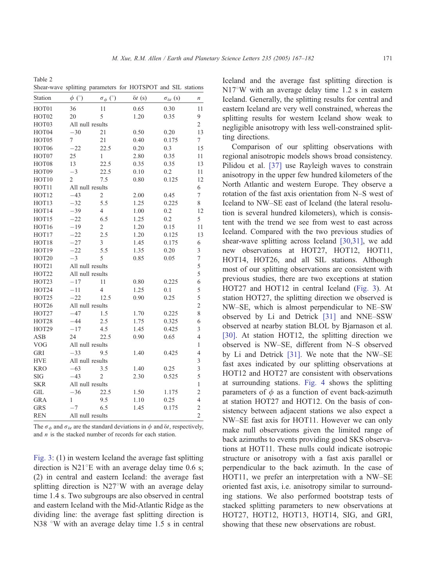The  $\sigma_{\phi}$  and  $\sigma_{\delta t}$  are the standard deviations in  $\phi$  and  $\delta t$ , respectively, and  $n$  is the stacked number of records for each station.

[Fig. 3:](#page-5-0) (1) in western Iceland the average fast splitting direction is  $N21^{\circ}E$  with an average delay time 0.6 s; (2) in central and eastern Iceland: the average fast splitting direction is  $N27°W$  with an average delay time 1.4 s. Two subgroups are also observed in central and eastern Iceland with the Mid-Atlantic Ridge as the dividing line: the average fast splitting direction is N38  $\degree$ W with an average delay time 1.5 s in central

Iceland and the average fast splitting direction is  $N17°W$  with an average delay time 1.2 s in eastern Iceland. Generally, the splitting results for central and eastern Iceland are very well constrained, whereas the splitting results for western Iceland show weak to negligible anisotropy with less well-constrained splitting directions.

Comparison of our splitting observations with regional anisotropic models shows broad consistency. Pilidou et al. [\[37\]](#page-14-0) use Rayleigh waves to constrain anisotropy in the upper few hundred kilometers of the North Atlantic and western Europe. They observe a rotation of the fast axis orientation from N–S west of Iceland to NW–SE east of Iceland (the lateral resolution is several hundred kilometers), which is consistent with the trend we see from west to east across Iceland. Compared with the two previous studies of shear-wave splitting across Iceland [\[30,31\],](#page-14-0) we add new observations at HOT27, HOT12, HOT11, HOT14, HOT26, and all SIL stations. Although most of our splitting observations are consistent with previous studies, there are two exceptions at station HOT27 and HOT12 in central Iceland ([Fig. 3\)](#page-5-0). At station HOT27, the splitting direction we observed is NW–SE, which is almost perpendicular to NE–SW observed by Li and Detrick [\[31\]](#page-14-0) and NNE–SSW observed at nearby station BLOL by Bjarnason et al. [\[30\].](#page-14-0) At station HOT12, the splitting direction we observed is NW–SE, different from N–S observed by Li and Detrick [\[31\].](#page-14-0) We note that the NW–SE fast axes indicated by our splitting observations at HOT12 and HOT27 are consistent with observations at surrounding stations. [Fig. 4](#page-5-0) shows the splitting parameters of  $\phi$  as a function of event back-azimuth at station HOT27 and HOT12. On the basis of consistency between adjacent stations we also expect a NW–SE fast axis for HOT11. However we can only make null observations given the limited range of back azimuths to events providing good SKS observations at HOT11. These nulls could indicate isotropic structure or anisotropy with a fast axis parallel or perpendicular to the back azimuth. In the case of HOT11, we prefer an interpretation with a NW–SE oriented fast axis, i.e. anisotropy similar to surrounding stations. We also performed bootstrap tests of stacked splitting parameters to new observations at HOT27, HOT12, HOT13, HOT14, SIG, and GRI, showing that these new observations are robust.

<span id="page-4-0"></span>Table 2 Shear-wave splitting parameters for HOTSPOT and SIL stations

| Station           | $\phi$ (°)       | $\sigma_{\phi}$ (°) | $\delta t$ (s) | $\sigma_{\delta t}$ (s) | $\boldsymbol{n}$         |  |  |  |  |
|-------------------|------------------|---------------------|----------------|-------------------------|--------------------------|--|--|--|--|
| HOT01             | 36               | 11                  | 0.65           | 0.30                    | 11                       |  |  |  |  |
| HOT <sub>02</sub> | 20               | 5                   | 1.20           | 0.35                    | 9                        |  |  |  |  |
| HOT03             |                  | All null results    |                |                         |                          |  |  |  |  |
| HOT04             | $-30$            | 21                  | 0.50           | 0.20                    | 13                       |  |  |  |  |
| HOT05             | 7                | 21                  | 0.40           | 0.175                   | 7                        |  |  |  |  |
| <b>HOT06</b>      | $-22$            | 22.5                | 0.20           | 0.3                     | 15                       |  |  |  |  |
| HOT07             | 25               | $\mathbf{1}$        | 2.80           | 0.35                    | 11                       |  |  |  |  |
| HOT08             | 13               | 22.5                | 0.35           | 0.35                    | 13                       |  |  |  |  |
| HOT09             | $-3$             | 22.5                | 0.10           | 0.2                     | 11                       |  |  |  |  |
| HOT10             | $\overline{c}$   | 7.5                 | 0.80           | 0.125                   | 12                       |  |  |  |  |
| HOT11             |                  | All null results    |                |                         |                          |  |  |  |  |
| HOT12             | $-43$            | $\overline{c}$      | 2.00           | 0.45                    | $\overline{7}$           |  |  |  |  |
| HOT13             | $-32$            | 5.5                 | 1.25           | 0.225                   | 8                        |  |  |  |  |
| HOT14             | $-39$            | $\overline{4}$      | 1.00           | 0.2                     | 12                       |  |  |  |  |
| HOT15             | $-22$            | 6.5                 | 1.25           | 0.2                     | 5                        |  |  |  |  |
| HOT16             | $-19$            | $\overline{2}$      | 1.20           | 0.15                    | 11                       |  |  |  |  |
| HOT17             | $-22$            | 2.5                 | 1.20           | 0.125                   | 13                       |  |  |  |  |
| HOT18             | $-27$            | 3                   | 1.45           | 0.175                   | 6                        |  |  |  |  |
| HOT19             | $-22$            | 5.5                 | 1.35           | 0.20                    | 3                        |  |  |  |  |
| HOT20             | $-3$             | 5                   | 0.85           | 0.05                    | $\overline{\mathcal{I}}$ |  |  |  |  |
| HOT21             | All null results |                     |                |                         | 5                        |  |  |  |  |
| <b>HOT22</b>      | All null results |                     |                |                         | 5                        |  |  |  |  |
| HOT23             | $-17$            | 11                  | 0.80           | 0.225                   | 6                        |  |  |  |  |
| HOT24             | $-11$            | $\overline{4}$      | 1.25           | 0.1                     | 5                        |  |  |  |  |
| HOT25             | $-22$            | 12.5                | 0.90           | 0.25                    | 5                        |  |  |  |  |
| HOT26             | All null results |                     |                |                         | $\overline{c}$           |  |  |  |  |
| HOT27             | $-47$            | 1.5                 | 1.70           | 0.225                   | 8                        |  |  |  |  |
| HOT28             | $-44$            | 2.5                 | 1.75           | 0.325                   | 6                        |  |  |  |  |
| <b>HOT29</b>      | $-17$            | 4.5                 | 1.45           | 0.425                   | 3                        |  |  |  |  |
| ASB               | 24               | 22.5                | 0.90           | 0.65                    | $\overline{4}$           |  |  |  |  |
| <b>VOG</b>        |                  | All null results    |                |                         |                          |  |  |  |  |
| GRI               | $-33$            | 9.5                 | 1.40           | 0.425                   | $\overline{4}$           |  |  |  |  |
| <b>HVE</b>        | All null results |                     |                |                         | 3                        |  |  |  |  |
| <b>KRO</b>        | $-63$            | 3.5                 | 1.40           | 0.25                    | 3                        |  |  |  |  |
| <b>SIG</b>        | $-43$            | $\overline{2}$      | 2.30           | 0.525                   | 5                        |  |  |  |  |
| <b>SKR</b>        | All null results |                     |                |                         | $\mathbf{1}$             |  |  |  |  |
| GIL               | $-36$            | 22.5                | 1.50           | 1.175                   | $\overline{2}$           |  |  |  |  |
| <b>GRA</b>        | 1                | 9.5                 | 1.10           | 0.25                    | $\overline{4}$           |  |  |  |  |
| <b>GRS</b>        | $-7$             | 6.5                 | 1.45           | 0.175                   | $\overline{2}$           |  |  |  |  |
| <b>REN</b>        | All null results |                     |                |                         | $\overline{c}$           |  |  |  |  |
|                   |                  |                     |                |                         |                          |  |  |  |  |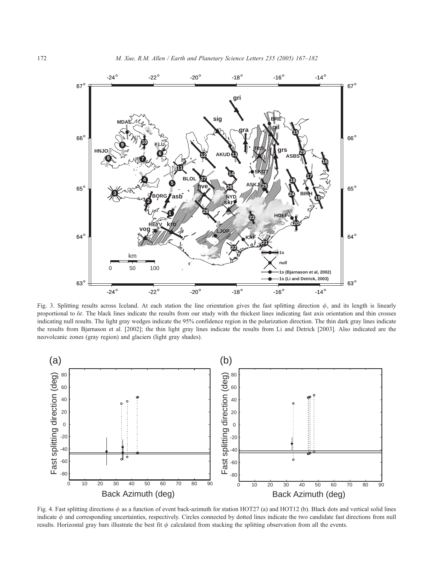<span id="page-5-0"></span>

Fig. 3. Splitting results across Iceland. At each station the line orientation gives the fast splitting direction  $\phi$ , and its length is linearly proportional to  $\delta t$ . The black lines indicate the results from our study with the thickest lines indicating fast axis orientation and thin crosses indicating null results. The light gray wedges indicate the 95% confidence region in the polarization direction. The thin dark gray lines indicate the results from Bjarnason et al. [2002]; the thin light gray lines indicate the results from Li and Detrick [2003]. Also indicated are the neovolcanic zones (gray region) and glaciers (light gray shades).



Fig. 4. Fast splitting directions  $\phi$  as a function of event back-azimuth for station HOT27 (a) and HOT12 (b). Black dots and vertical solid lines indicate  $\phi$  and corresponding uncertainties, respectively. Circles connected by dotted lines indicate the two candidate fast directions from null results. Horizontal gray bars illustrate the best fit  $\phi$  calculated from stacking the splitting observation from all the events.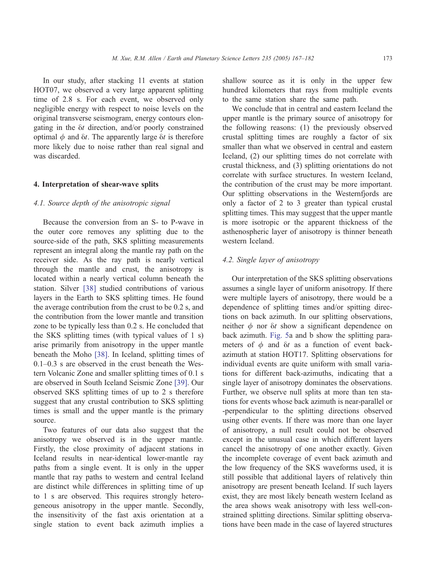In our study, after stacking 11 events at station HOT07, we observed a very large apparent splitting time of 2.8 s. For each event, we observed only negligible energy with respect to noise levels on the original transverse seismogram, energy contours elongating in the  $\delta t$  direction, and/or poorly constrained optimal  $\phi$  and  $\delta t$ . The apparently large  $\delta t$  is therefore more likely due to noise rather than real signal and was discarded.

#### 4. Interpretation of shear-wave splits

## 4.1. Source depth of the anisotropic signal

Because the conversion from an S- to P-wave in the outer core removes any splitting due to the source-side of the path, SKS splitting measurements represent an integral along the mantle ray path on the receiver side. As the ray path is nearly vertical through the mantle and crust, the anisotropy is located within a nearly vertical column beneath the station. Silver [\[38\]](#page-14-0) studied contributions of various layers in the Earth to SKS splitting times. He found the average contribution from the crust to be 0.2 s, and the contribution from the lower mantle and transition zone to be typically less than 0.2 s. He concluded that the SKS splitting times (with typical values of 1 s) arise primarily from anisotropy in the upper mantle beneath the Moho [\[38\].](#page-14-0) In Iceland, splitting times of 0.1–0.3 s are observed in the crust beneath the Western Volcanic Zone and smaller splitting times of 0.1 s are observed in South Iceland Seismic Zone [\[39\].](#page-14-0) Our observed SKS splitting times of up to 2 s therefore suggest that any crustal contribution to SKS splitting times is small and the upper mantle is the primary source.

Two features of our data also suggest that the anisotropy we observed is in the upper mantle. Firstly, the close proximity of adjacent stations in Iceland results in near-identical lower-mantle ray paths from a single event. It is only in the upper mantle that ray paths to western and central Iceland are distinct while differences in splitting time of up to 1 s are observed. This requires strongly heterogeneous anisotropy in the upper mantle. Secondly, the insensitivity of the fast axis orientation at a single station to event back azimuth implies a shallow source as it is only in the upper few hundred kilometers that rays from multiple events to the same station share the same path.

We conclude that in central and eastern Iceland the upper mantle is the primary source of anisotropy for the following reasons: (1) the previously observed crustal splitting times are roughly a factor of six smaller than what we observed in central and eastern Iceland, (2) our splitting times do not correlate with crustal thickness, and (3) splitting orientations do not correlate with surface structures. In western Iceland, the contribution of the crust may be more important. Our splitting observations in the Westernfjords are only a factor of 2 to 3 greater than typical crustal splitting times. This may suggest that the upper mantle is more isotropic or the apparent thickness of the asthenospheric layer of anisotropy is thinner beneath western Iceland.

#### 4.2. Single layer of anisotropy

Our interpretation of the SKS splitting observations assumes a single layer of uniform anisotropy. If there were multiple layers of anisotropy, there would be a dependence of splitting times and/or spitting directions on back azimuth. In our splitting observations, neither  $\phi$  nor  $\delta t$  show a significant dependence on back azimuth. [Fig. 5a](#page-7-0) and b show the splitting parameters of  $\phi$  and  $\delta t$  as a function of event backazimuth at station HOT17. Splitting observations for individual events are quite uniform with small variations for different back-azimuths, indicating that a single layer of anisotropy dominates the observations. Further, we observe null splits at more than ten stations for events whose back azimuth is near-parallel or -perpendicular to the splitting directions observed using other events. If there was more than one layer of anisotropy, a null result could not be observed except in the unusual case in which different layers cancel the anisotropy of one another exactly. Given the incomplete coverage of event back azimuth and the low frequency of the SKS waveforms used, it is still possible that additional layers of relatively thin anisotropy are present beneath Iceland. If such layers exist, they are most likely beneath western Iceland as the area shows weak anisotropy with less well-constrained splitting directions. Similar splitting observations have been made in the case of layered structures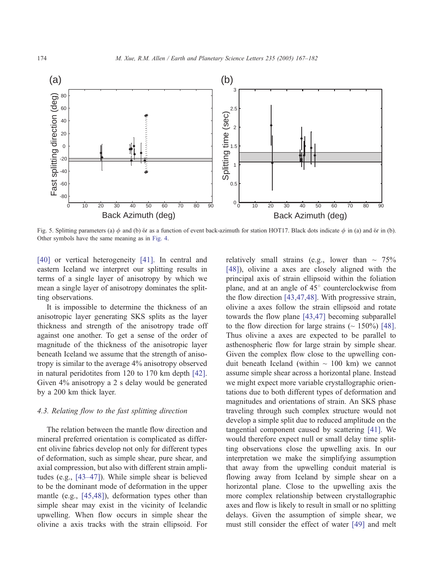<span id="page-7-0"></span>

Fig. 5. Splitting parameters (a)  $\phi$  and (b)  $\delta t$  as a function of event back-azimuth for station HOT17. Black dots indicate  $\phi$  in (a) and  $\delta t$  in (b). Other symbols have the same meaning as in [Fig. 4.](#page-5-0)

[\[40\]](#page-14-0) or vertical heterogeneity [\[41\].](#page-14-0) In central and eastern Iceland we interpret our splitting results in terms of a single layer of anisotropy by which we mean a single layer of anisotropy dominates the splitting observations.

It is impossible to determine the thickness of an anisotropic layer generating SKS splits as the layer thickness and strength of the anisotropy trade off against one another. To get a sense of the order of magnitude of the thickness of the anisotropic layer beneath Iceland we assume that the strength of anisotropy is similar to the average 4% anisotropy observed in natural peridotites from 120 to 170 km depth [\[42\].](#page-14-0) Given 4% anisotropy a 2 s delay would be generated by a 200 km thick layer.

#### 4.3. Relating flow to the fast splitting direction

The relation between the mantle flow direction and mineral preferred orientation is complicated as different olivine fabrics develop not only for different types of deformation, such as simple shear, pure shear, and axial compression, but also with different strain amplitudes (e.g., [\[43–47\]\)](#page-14-0). While simple shear is believed to be the dominant mode of deformation in the upper mantle (e.g., [\[45,48\]\)](#page-14-0), deformation types other than simple shear may exist in the vicinity of Icelandic upwelling. When flow occurs in simple shear the olivine a axis tracks with the strain ellipsoid. For relatively small strains (e.g., lower than  $\sim 75\%$ ) [\[48\]\)](#page-15-0), olivine a axes are closely aligned with the principal axis of strain ellipsoid within the foliation plane, and at an angle of  $45^\circ$  counterclockwise from the flow direction [\[43,47,48\].](#page-14-0) With progressive strain, olivine a axes follow the strain ellipsoid and rotate towards the flow plane [\[43,47\]](#page-14-0) becoming subparallel to the flow direction for large strains  $( \sim 150\%)$  [\[48\].](#page-15-0) Thus olivine a axes are expected to be parallel to asthenospheric flow for large strain by simple shear. Given the complex flow close to the upwelling conduit beneath Iceland (within  $\sim$  100 km) we cannot assume simple shear across a horizontal plane. Instead we might expect more variable crystallographic orientations due to both different types of deformation and magnitudes and orientations of strain. An SKS phase traveling through such complex structure would not develop a simple split due to reduced amplitude on the tangential component caused by scattering [\[41\].](#page-14-0) We would therefore expect null or small delay time splitting observations close the upwelling axis. In our interpretation we make the simplifying assumption that away from the upwelling conduit material is flowing away from Iceland by simple shear on a horizontal plane. Close to the upwelling axis the more complex relationship between crystallographic axes and flow is likely to result in small or no splitting delays. Given the assumption of simple shear, we must still consider the effect of water [\[49\]](#page-15-0) and melt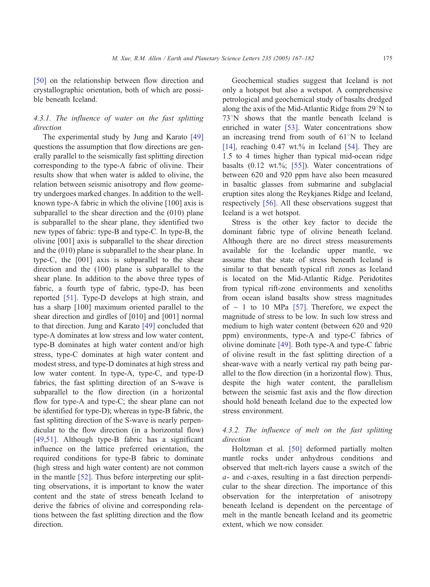# 4.3.1. The influence of water on the fast splitting direction

The experimental study by Jung and Karato [\[49\]](#page-15-0) questions the assumption that flow directions are generally parallel to the seismically fast splitting direction corresponding to the type-A fabric of olivine. Their results show that when water is added to olivine, the relation between seismic anisotropy and flow geometry undergoes marked changes. In addition to the wellknown type-A fabric in which the olivine [100] axis is subparallel to the shear direction and the  $(010)$  plane is subparallel to the shear plane, they identified two new types of fabric: type-B and type-C. In type-B, the olivine [001] axis is subparallel to the shear direction and the (010) plane is subparallel to the shear plane. In type-C, the [001] axis is subparallel to the shear direction and the (100) plane is subparallel to the shear plane. In addition to the above three types of fabric, a fourth type of fabric, type-D, has been reported [\[51\].](#page-15-0) Type-D develops at high strain, and has a sharp [100] maximum oriented parallel to the shear direction and girdles of [010] and [001] normal to that direction. Jung and Karato [\[49\]](#page-15-0) concluded that type-A dominates at low stress and low water content, type-B dominates at high water content and/or high stress, type-C dominates at high water content and modest stress, and type-D dominates at high stress and low water content. In type-A, type-C, and type-D fabrics, the fast splitting direction of an S-wave is subparallel to the flow direction (in a horizontal flow for type-A and type-C; the shear plane can not be identified for type-D); whereas in type-B fabric, the fast splitting direction of the S-wave is nearly perpendicular to the flow direction (in a horizontal flow) [\[49,51\].](#page-15-0) Although type-B fabric has a significant influence on the lattice preferred orientation, the required conditions for type-B fabric to dominate (high stress and high water content) are not common in the mantle [\[52\]](#page-15-0). Thus before interpreting our splitting observations, it is important to know the water content and the state of stress beneath Iceland to derive the fabrics of olivine and corresponding relations between the fast splitting direction and the flow direction.

Geochemical studies suggest that Iceland is not only a hotspot but also a wetspot. A comprehensive petrological and geochemical study of basalts dredged along the axis of the Mid-Atlantic Ridge from  $29^{\circ}$ N to  $73^{\circ}$ N shows that the mantle beneath Iceland is enriched in water [\[53\].](#page-15-0) Water concentrations show an increasing trend from south of  $61^{\circ}N$  to Iceland [\[14\],](#page-14-0) reaching  $0.47 \text{ wt.} \%$  in Iceland [\[54\].](#page-15-0) They are 1.5 to 4 times higher than typical mid-ocean ridge basalts  $(0.12 \text{ wt.}\%; [55])$  $(0.12 \text{ wt.}\%; [55])$ . Water concentrations of between 620 and 920 ppm have also been measured in basaltic glasses from submarine and subglacial eruption sites along the Reykjanes Ridge and Iceland, respectively [\[56\].](#page-15-0) All these observations suggest that Iceland is a wet hotspot.

Stress is the other key factor to decide the dominant fabric type of olivine beneath Iceland. Although there are no direct stress measurements available for the Icelandic upper mantle, we assume that the state of stress beneath Iceland is similar to that beneath typical rift zones as Iceland is located on the Mid-Atlantic Ridge. Peridotites from typical rift-zone environments and xenoliths from ocean island basalts show stress magnitudes of  $\sim$  1 to 10 MPa [\[57\].](#page-15-0) Therefore, we expect the magnitude of stress to be low. In such low stress and medium to high water content (between 620 and 920 ppm) environments, type-A and type-C fabrics of olivine dominate [\[49\].](#page-15-0) Both type-A and type-C fabric of olivine result in the fast splitting direction of a shear-wave with a nearly vertical ray path being parallel to the flow direction (in a horizontal flow). Thus, despite the high water content, the parallelism between the seismic fast axis and the flow direction should hold beneath Iceland due to the expected low stress environment.

# 4.3.2. The influence of melt on the fast splitting direction

Holtzman et al. [\[50\]](#page-15-0) deformed partially molten mantle rocks under anhydrous conditions and observed that melt-rich layers cause a switch of the  $a$ - and  $c$ -axes, resulting in a fast direction perpendicular to the shear direction. The importance of this observation for the interpretation of anisotropy beneath Iceland is dependent on the percentage of melt in the mantle beneath Iceland and its geometric extent, which we now consider.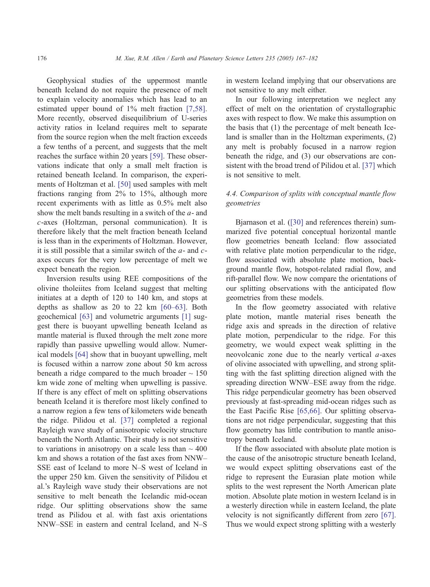Geophysical studies of the uppermost mantle beneath Iceland do not require the presence of melt to explain velocity anomalies which has lead to an estimated upper bound of 1% melt fraction [\[7,58\].](#page-13-0) More recently, observed disequilibrium of U-series activity ratios in Iceland requires melt to separate from the source region when the melt fraction exceeds a few tenths of a percent, and suggests that the melt reaches the surface within 20 years [\[59\].](#page-15-0) These observations indicate that only a small melt fraction is retained beneath Iceland. In comparison, the experiments of Holtzman et al. [\[50\]](#page-15-0) used samples with melt fractions ranging from 2% to 15%, although more recent experiments with as little as 0.5% melt also show the melt bands resulting in a switch of the  $a$ - and c-axes (Holtzman, personal communication). It is therefore likely that the melt fraction beneath Iceland is less than in the experiments of Holtzman. However, it is still possible that a similar switch of the  $a$ - and  $c$ axes occurs for the very low percentage of melt we expect beneath the region.

Inversion results using REE compositions of the olivine tholeiites from Iceland suggest that melting initiates at a depth of 120 to 140 km, and stops at depths as shallow as 20 to 22 km [\[60–63\].](#page-15-0) Both geochemical [\[63\]](#page-15-0) and volumetric arguments [\[1\]](#page-13-0) suggest there is buoyant upwelling beneath Iceland as mantle material is fluxed through the melt zone more rapidly than passive upwelling would allow. Numerical models [\[64\]](#page-15-0) show that in buoyant upwelling, melt is focused within a narrow zone about 50 km across beneath a ridge compared to the much broader  $\sim 150$ km wide zone of melting when upwelling is passive. If there is any effect of melt on splitting observations beneath Iceland it is therefore most likely confined to a narrow region a few tens of kilometers wide beneath the ridge. Pilidou et al. [\[37\]](#page-14-0) completed a regional Rayleigh wave study of anisotropic velocity structure beneath the North Atlantic. Their study is not sensitive to variations in anisotropy on a scale less than  $\sim$  400 km and shows a rotation of the fast axes from NNW– SSE east of Iceland to more N–S west of Iceland in the upper 250 km. Given the sensitivity of Pilidou et al.'s Rayleigh wave study their observations are not sensitive to melt beneath the Icelandic mid-ocean ridge. Our splitting observations show the same trend as Pilidou et al. with fast axis orientations NNW–SSE in eastern and central Iceland, and N–S in western Iceland implying that our observations are not sensitive to any melt either.

In our following interpretation we neglect any effect of melt on the orientation of crystallographic axes with respect to flow. We make this assumption on the basis that (1) the percentage of melt beneath Iceland is smaller than in the Holtzman experiments, (2) any melt is probably focused in a narrow region beneath the ridge, and (3) our observations are consistent with the broad trend of Pilidou et al. [\[37\]](#page-14-0) which is not sensitive to melt.

## 4.4. Comparison of splits with conceptual mantle flow geometries

Bjarnason et al. ([\[30\]](#page-14-0) and references therein) summarized five potential conceptual horizontal mantle flow geometries beneath Iceland: flow associated with relative plate motion perpendicular to the ridge, flow associated with absolute plate motion, background mantle flow, hotspot-related radial flow, and rift-parallel flow. We now compare the orientations of our splitting observations with the anticipated flow geometries from these models.

In the flow geometry associated with relative plate motion, mantle material rises beneath the ridge axis and spreads in the direction of relative plate motion, perpendicular to the ridge. For this geometry, we would expect weak splitting in the neovolcanic zone due to the nearly vertical  $a$ -axes of olivine associated with upwelling, and strong splitting with the fast splitting direction aligned with the spreading direction WNW–ESE away from the ridge. This ridge perpendicular geometry has been observed previously at fast-spreading mid-ocean ridges such as the East Pacific Rise [\[65,66\].](#page-15-0) Our splitting observations are not ridge perpendicular, suggesting that this flow geometry has little contribution to mantle anisotropy beneath Iceland.

If the flow associated with absolute plate motion is the cause of the anisotropic structure beneath Iceland, we would expect splitting observations east of the ridge to represent the Eurasian plate motion while splits to the west represent the North American plate motion. Absolute plate motion in western Iceland is in a westerly direction while in eastern Iceland, the plate velocity is not significantly different from zero [\[67\].](#page-15-0) Thus we would expect strong splitting with a westerly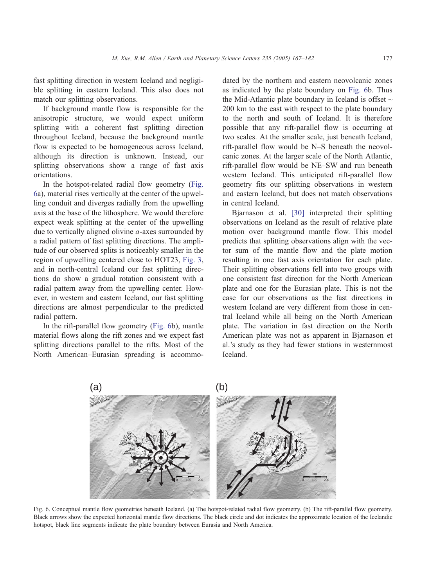fast splitting direction in western Iceland and negligible splitting in eastern Iceland. This also does not match our splitting observations.

If background mantle flow is responsible for the anisotropic structure, we would expect uniform splitting with a coherent fast splitting direction throughout Iceland, because the background mantle flow is expected to be homogeneous across Iceland, although its direction is unknown. Instead, our splitting observations show a range of fast axis orientations.

In the hotspot-related radial flow geometry (Fig. 6a), material rises vertically at the center of the upwelling conduit and diverges radially from the upwelling axis at the base of the lithosphere. We would therefore expect weak splitting at the center of the upwelling due to vertically aligned olivine  $a$ -axes surrounded by a radial pattern of fast splitting directions. The amplitude of our observed splits is noticeably smaller in the region of upwelling centered close to HOT23, [Fig. 3,](#page-5-0) and in north-central Iceland our fast splitting directions do show a gradual rotation consistent with a radial pattern away from the upwelling center. However, in western and eastern Iceland, our fast splitting directions are almost perpendicular to the predicted radial pattern.

In the rift-parallel flow geometry (Fig. 6b), mantle material flows along the rift zones and we expect fast splitting directions parallel to the rifts. Most of the North American–Eurasian spreading is accommodated by the northern and eastern neovolcanic zones as indicated by the plate boundary on Fig. 6b. Thus the Mid-Atlantic plate boundary in Iceland is offset  $\sim$ 200 km to the east with respect to the plate boundary to the north and south of Iceland. It is therefore possible that any rift-parallel flow is occurring at two scales. At the smaller scale, just beneath Iceland, rift-parallel flow would be N–S beneath the neovolcanic zones. At the larger scale of the North Atlantic, rift-parallel flow would be NE–SW and run beneath western Iceland. This anticipated rift-parallel flow geometry fits our splitting observations in western and eastern Iceland, but does not match observations in central Iceland.

Bjarnason et al. [\[30\]](#page-14-0) interpreted their splitting observations on Iceland as the result of relative plate motion over background mantle flow. This model predicts that splitting observations align with the vector sum of the mantle flow and the plate motion resulting in one fast axis orientation for each plate. Their splitting observations fell into two groups with one consistent fast direction for the North American plate and one for the Eurasian plate. This is not the case for our observations as the fast directions in western Iceland are very different from those in central Iceland while all being on the North American plate. The variation in fast direction on the North American plate was not as apparent in Bjarnason et al.'s study as they had fewer stations in westernmost Iceland.



Fig. 6. Conceptual mantle flow geometries beneath Iceland. (a) The hotspot-related radial flow geometry. (b) The rift-parallel flow geometry. Black arrows show the expected horizontal mantle flow directions. The black circle and dot indicates the approximate location of the Icelandic hotspot, black line segments indicate the plate boundary between Eurasia and North America.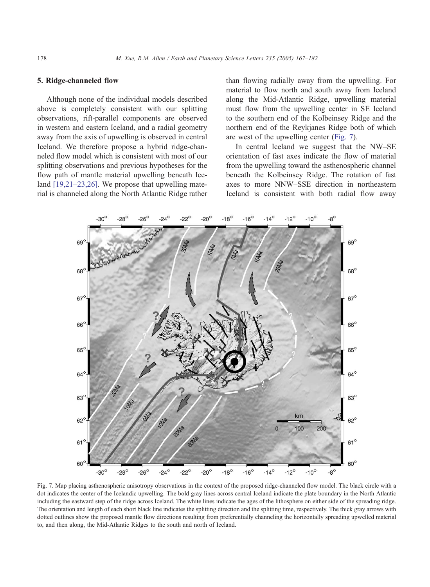#### 5. Ridge-channeled flow

Although none of the individual models described above is completely consistent with our splitting observations, rift-parallel components are observed in western and eastern Iceland, and a radial geometry away from the axis of upwelling is observed in central Iceland. We therefore propose a hybrid ridge-channeled flow model which is consistent with most of our splitting observations and previous hypotheses for the flow path of mantle material upwelling beneath Iceland [\[19,21–23,26\].](#page-14-0) We propose that upwelling material is channeled along the North Atlantic Ridge rather than flowing radially away from the upwelling. For material to flow north and south away from Iceland along the Mid-Atlantic Ridge, upwelling material must flow from the upwelling center in SE Iceland to the southern end of the Kolbeinsey Ridge and the northern end of the Reykjanes Ridge both of which are west of the upwelling center (Fig. 7).

In central Iceland we suggest that the NW–SE orientation of fast axes indicate the flow of material from the upwelling toward the asthenospheric channel beneath the Kolbeinsey Ridge. The rotation of fast axes to more NNW–SSE direction in northeastern Iceland is consistent with both radial flow away



Fig. 7. Map placing asthenospheric anisotropy observations in the context of the proposed ridge-channeled flow model. The black circle with a dot indicates the center of the Icelandic upwelling. The bold gray lines across central Iceland indicate the plate boundary in the North Atlantic including the eastward step of the ridge across Iceland. The white lines indicate the ages of the lithosphere on either side of the spreading ridge. The orientation and length of each short black line indicates the splitting direction and the splitting time, respectively. The thick gray arrows with dotted outlines show the proposed mantle flow directions resulting from preferentially channeling the horizontally spreading upwelled material to, and then along, the Mid-Atlantic Ridges to the south and north of Iceland.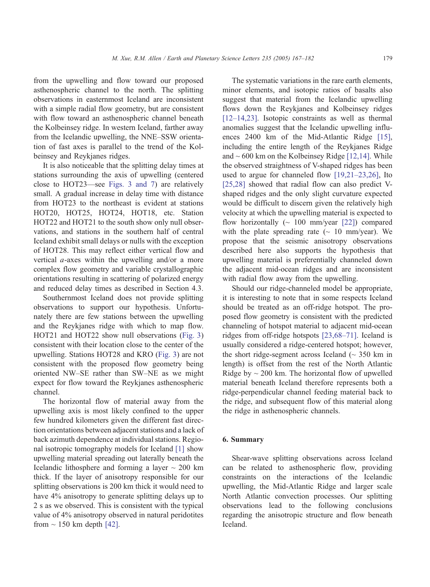from the upwelling and flow toward our proposed asthenospheric channel to the north. The splitting observations in easternmost Iceland are inconsistent with a simple radial flow geometry, but are consistent with flow toward an asthenospheric channel beneath the Kolbeinsey ridge. In western Iceland, farther away from the Icelandic upwelling, the NNE–SSW orientation of fast axes is parallel to the trend of the Kolbeinsey and Reykjanes ridges.

It is also noticeable that the splitting delay times at stations surrounding the axis of upwelling (centered close to HOT23—see [Figs. 3 and 7\)](#page-5-0) are relatively small. A gradual increase in delay time with distance from HOT23 to the northeast is evident at stations HOT20, HOT25, HOT24, HOT18, etc. Station HOT22 and HOT21 to the south show only null observations, and stations in the southern half of central Iceland exhibit small delays or nulls with the exception of HOT28. This may reflect either vertical flow and vertical  $a$ -axes within the upwelling and/or a more complex flow geometry and variable crystallographic orientations resulting in scattering of polarized energy and reduced delay times as described in Section 4.3.

Southernmost Iceland does not provide splitting observations to support our hypothesis. Unfortunately there are few stations between the upwelling and the Reykjanes ridge with which to map flow. HOT21 and HOT22 show null observations ([Fig. 3\)](#page-5-0) consistent with their location close to the center of the upwelling. Stations HOT28 and KRO ([Fig. 3\)](#page-5-0) are not consistent with the proposed flow geometry being oriented NW–SE rather than SW–NE as we might expect for flow toward the Reykjanes asthenospheric channel.

The horizontal flow of material away from the upwelling axis is most likely confined to the upper few hundred kilometers given the different fast direction orientations between adjacent stations and a lack of back azimuth dependence at individual stations. Regional isotropic tomography models for Iceland [\[1\]](#page-13-0) show upwelling material spreading out laterally beneath the Icelandic lithosphere and forming a layer  $\sim 200$  km thick. If the layer of anisotropy responsible for our splitting observations is 200 km thick it would need to have 4% anisotropy to generate splitting delays up to 2 s as we observed. This is consistent with the typical value of 4% anisotropy observed in natural peridotites from  $\sim$  150 km depth [\[42\].](#page-14-0)

The systematic variations in the rare earth elements, minor elements, and isotopic ratios of basalts also suggest that material from the Icelandic upwelling flows down the Reykjanes and Kolbeinsey ridges [\[12–14,23\].](#page-14-0) Isotopic constraints as well as thermal anomalies suggest that the Icelandic upwelling influences 2400 km of the Mid-Atlantic Ridge [\[15\],](#page-14-0) including the entire length of the Reykjanes Ridge and  $\sim 600$  km on the Kolbeinsey Ridge [\[12,14\].](#page-14-0) While the observed straightness of V-shaped ridges has been used to argue for channeled flow [\[19,21–23,26\],](#page-14-0) Ito [\[25,28\]](#page-14-0) showed that radial flow can also predict Vshaped ridges and the only slight curvature expected would be difficult to discern given the relatively high velocity at which the upwelling material is expected to flow horizontally  $( \sim 100 \text{ mm/year}$  [\[22\]\)](#page-14-0) compared with the plate spreading rate  $($   $\sim$  10 mm/year). We propose that the seismic anisotropy observations described here also supports the hypothesis that upwelling material is preferentially channeled down the adjacent mid-ocean ridges and are inconsistent with radial flow away from the upwelling.

Should our ridge-channeled model be appropriate, it is interesting to note that in some respects Iceland should be treated as an off-ridge hotspot. The proposed flow geometry is consistent with the predicted channeling of hotspot material to adjacent mid-ocean ridges from off-ridge hotspots [\[23,68–71\].](#page-14-0) Iceland is usually considered a ridge-centered hotspot; however, the short ridge-segment across Iceland  $($   $\sim$  350 km in length) is offset from the rest of the North Atlantic Ridge by  $\sim$  200 km. The horizontal flow of upwelled material beneath Iceland therefore represents both a ridge-perpendicular channel feeding material back to the ridge, and subsequent flow of this material along the ridge in asthenospheric channels.

#### 6. Summary

Shear-wave splitting observations across Iceland can be related to asthenospheric flow, providing constraints on the interactions of the Icelandic upwelling, the Mid-Atlantic Ridge and larger scale North Atlantic convection processes. Our splitting observations lead to the following conclusions regarding the anisotropic structure and flow beneath Iceland.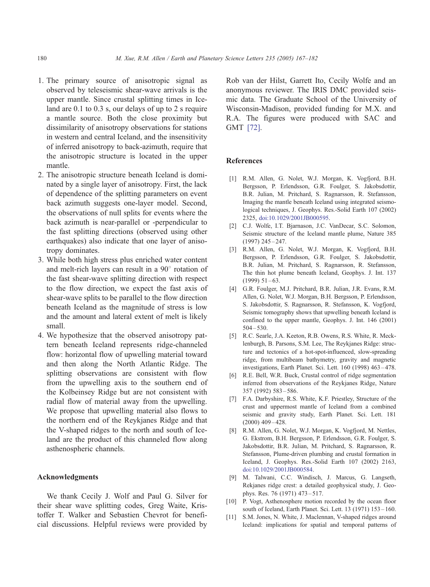- <span id="page-13-0"></span>1. The primary source of anisotropic signal as observed by teleseismic shear-wave arrivals is the upper mantle. Since crustal splitting times in Iceland are 0.1 to 0.3 s, our delays of up to 2 s require a mantle source. Both the close proximity but dissimilarity of anisotropy observations for stations in western and central Iceland, and the insensitivity of inferred anisotropy to back-azimuth, require that the anisotropic structure is located in the upper mantle.
- 2. The anisotropic structure beneath Iceland is dominated by a single layer of anisotropy. First, the lack of dependence of the splitting parameters on event back azimuth suggests one-layer model. Second, the observations of null splits for events where the back azimuth is near-parallel or -perpendicular to the fast splitting directions (observed using other earthquakes) also indicate that one layer of anisotropy dominates.
- 3. While both high stress plus enriched water content and melt-rich layers can result in a  $90^\circ$  rotation of the fast shear-wave splitting direction with respect to the flow direction, we expect the fast axis of shear-wave splits to be parallel to the flow direction beneath Iceland as the magnitude of stress is low and the amount and lateral extent of melt is likely small.
- 4. We hypothesize that the observed anisotropy pattern beneath Iceland represents ridge-channeled flow: horizontal flow of upwelling material toward and then along the North Atlantic Ridge. The splitting observations are consistent with flow from the upwelling axis to the southern end of the Kolbeinsey Ridge but are not consistent with radial flow of material away from the upwelling. We propose that upwelling material also flows to the northern end of the Reykjanes Ridge and that the V-shaped ridges to the north and south of Iceland are the product of this channeled flow along asthenospheric channels.

#### Acknowledgments

We thank Cecily J. Wolf and Paul G. Silver for their shear wave splitting codes, Greg Waite, Kristoffer T. Walker and Sebastien Chevrot for beneficial discussions. Helpful reviews were provided by Rob van der Hilst, Garrett Ito, Cecily Wolfe and an anonymous reviewer. The IRIS DMC provided seismic data. The Graduate School of the University of Wisconsin-Madison, provided funding for M.X. and R.A. The figures were produced with SAC and GMT [\[72\].](#page-15-0)

## References

- [1] R.M. Allen, G. Nolet, W.J. Morgan, K. Vogfjord, B.H. Bergsson, P. Erlendsson, G.R. Foulger, S. Jakobsdottir, B.R. Julian, M. Pritchard, S. Ragnarsson, R. Stefansson, Imaging the mantle beneath Iceland using integrated seismological techniques, J. Geophys. Res.-Solid Earth 107 (2002) 2325, doi:10.1029/2001JB000595.
- [2] C.J. Wolfe, I.T. Bjarnason, J.C. VanDecar, S.C. Solomon, Seismic structure of the Iceland mantle plume, Nature 385 (1997) 245 – 247.
- [3] R.M. Allen, G. Nolet, W.J. Morgan, K. Vogfjord, B.H. Bergsson, P. Erlendsson, G.R. Foulger, S. Jakobsdottir, B.R. Julian, M. Pritchard, S. Ragnarsson, R. Stefansson, The thin hot plume beneath Iceland, Geophys. J. Int. 137  $(1999)$  51 – 63.
- [4] G.R. Foulger, M.J. Pritchard, B.R. Julian, J.R. Evans, R.M. Allen, G. Nolet, W.J. Morgan, B.H. Bergsson, P. Erlendsson, S. Jakobsdottir, S. Ragnarsson, R. Stefansson, K. Vogfjord, Seismic tomography shows that upwelling beneath Iceland is confined to the upper mantle, Geophys. J. Int. 146 (2001)  $504 - 530.$
- [5] R.C. Searle, J.A. Keeton, R.B. Owens, R.S. White, R. Mecklenburgh, B. Parsons, S.M. Lee, The Reykjanes Ridge: structure and tectonics of a hot-spot-influenced, slow-spreading ridge, from multibeam bathymetry, gravity and magnetic investigations, Earth Planet. Sci. Lett. 160 (1998) 463 – 478.
- [6] R.E. Bell, W.R. Buck, Crustal control of ridge segmentation inferred from observations of the Reykjanes Ridge, Nature 357 (1992) 583 – 586.
- [7] F.A. Darbyshire, R.S. White, K.F. Priestley, Structure of the crust and uppermost mantle of Iceland from a combined seismic and gravity study, Earth Planet. Sci. Lett. 181  $(2000)$  409 – 428.
- [8] R.M. Allen, G. Nolet, W.J. Morgan, K. Vogfjord, M. Nettles, G. Ekstrom, B.H. Bergsson, P. Erlendsson, G.R. Foulger, S. Jakobsdottir, B.R. Julian, M. Pritchard, S. Ragnarsson, R. Stefansson, Plume-driven plumbing and crustal formation in Iceland, J. Geophys. Res.-Solid Earth 107 (2002) 2163, doi:10.1029/2001JB000584.
- [9] M. Talwani, C.C. Windisch, J. Marcus, G. Langseth, Rekjanes ridge crest: a detailed geophysical study, J. Geophys. Res. 76 (1971) 473 – 517.
- [10] P. Vogt, Asthenosphere motion recorded by the ocean floor south of Iceland, Earth Planet. Sci. Lett. 13 (1971) 153 – 160.
- [11] S.M. Jones, N. White, J. Maclennan, V-shaped ridges around Iceland: implications for spatial and temporal patterns of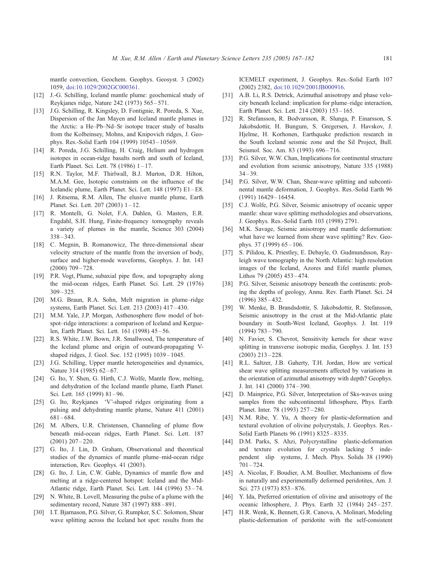<span id="page-14-0"></span>mantle convection, Geochem. Geophys. Geosyst. 3 (2002) 1059, doi:10.1029/2002GC000361.

- [12] J.-G. Schilling, Iceland mantle plume: geochemical study of Reykjanes ridge, Nature 242 (1973) 565 – 571.
- [13] J.G. Schilling, R. Kingsley, D. Fontignie, R. Poreda, S. Xue, Dispersion of the Jan Mayen and Iceland mantle plumes in the Arctic: a He–Pb–Nd–Sr isotope tracer study of basalts from the Kolbeinsey, Mohns, and Knipovich ridges, J. Geophys. Res.-Solid Earth 104 (1999) 10543 – 10569.
- [14] R. Poreda, J.G. Schilling, H. Craig, Helium and hydrogen isotopes in ocean-ridge basalts north and south of Iceland, Earth Planet. Sci. Lett. 78 (1986) 1 – 17.
- [15] R.N. Taylor, M.F. Thirlwall, B.J. Murton, D.R. Hilton, M.A.M. Gee, Isotopic constraints on the influence of the Icelandic plume, Earth Planet. Sci. Lett. 148 (1997) E1-E8.
- [16] J. Ritsema, R.M. Allen, The elusive mantle plume, Earth Planet. Sci. Lett. 207 (2003) 1-12.
- [17] R. Montelli, G. Nolet, F.A. Dahlen, G. Masters, E.R. Engdahl, S.H. Hung, Finite-frequency tomography reveals a variety of plumes in the mantle, Science 303 (2004) 338 – 343.
- [18] C. Megnin, B. Romanowicz, The three-dimensional shear velocity structure of the mantle from the inversion of body, surface and higher-mode waveforms, Geophys. J. Int. 143  $(2000)$  709 – 728.
- [19] P.R. Vogt, Plume, subaxial pipe flow, and topography along the mid-ocean ridges, Earth Planet. Sci. Lett. 29 (1976)  $309 - 325$ .
- [20] M.G. Braun, R.A. Sohn, Melt migration in plume–ridge systems, Earth Planet. Sci. Lett. 213 (2003) 417 – 430.
- [21] M.M. Yale, J.P. Morgan, Asthenosphere flow model of hotspot–ridge interactions: a comparison of Iceland and Kerguelen, Earth Planet. Sci. Lett. 161 (1998) 45 – 56.
- [22] R.S. White, J.W. Bown, J.R. Smallwood, The temperature of the Iceland plume and origin of outward-propagating Vshaped ridges, J. Geol. Soc. 152 (1995) 1039 – 1045.
- [23] J.G. Schilling, Upper mantle heterogeneities and dynamics, Nature 314 (1985) 62-67.
- [24] G. Ito, Y. Shen, G. Hirth, C.J. Wolfe, Mantle flow, melting, and dehydration of the Iceland mantle plume, Earth Planet. Sci. Lett. 165 (1999) 81-96.
- [25] G. Ito, Reykjanes 'V'-shaped ridges originating from a pulsing and dehydrating mantle plume, Nature 411 (2001)  $681 - 684.$
- [26] M. Albers, U.R. Christensen, Channeling of plume flow beneath mid-ocean ridges, Earth Planet. Sci. Lett. 187  $(2001)$   $207 - 220$ .
- [27] G. Ito, J. Lin, D. Graham, Observational and theoretical studies of the dynamics of mantle plume–mid-ocean ridge interaction, Rev. Geophys. 41 (2003).
- [28] G. Ito, J. Lin, C.W. Gable, Dynamics of mantle flow and melting at a ridge-centered hotspot: Iceland and the Mid-Atlantic ridge, Earth Planet. Sci. Lett. 144 (1996) 53 – 74.
- [29] N. White, B. Lovell, Measuring the pulse of a plume with the sedimentary record, Nature 387 (1997) 888 – 891.
- [30] I.T. Bjarnason, P.G. Silver, G. Rumpker, S.C. Solomon, Shear wave splitting across the Iceland hot spot: results from the

ICEMELT experiment, J. Geophys. Res.-Solid Earth 107 (2002) 2382, doi:10.1029/2001JB000916.

- [31] A.B. Li, R.S. Detrick, Azimuthal anisotropy and phase velocity beneath Iceland: implication for plume–ridge interaction, Earth Planet. Sci. Lett. 214 (2003) 153 – 165.
- [32] R. Stefansson, R. Bodvarsson, R. Slunga, P. Einarsson, S. Jakobsdottir, H. Bungum, S. Gregersen, J. Havskov, J. Hjelme, H. Korhonen, Earthquake prediction research in the South Iceland seismic zone and the Sil Project, Bull. Seismol. Soc. Am. 83 (1993) 696-716.
- [33] P.G. Silver, W.W. Chan, Implications for continental structure and evolution from seismic anisotropy, Nature 335 (1988)  $34 - 39$
- [34] P.G. Silver, W.W. Chan, Shear-wave splitting and subcontinental mantle deformation, J. Geophys. Res.-Solid Earth 96 (1991) 16429 – 16454.
- [35] C.J. Wolfe, P.G. Silver, Seismic anisotropy of oceanic upper mantle: shear wave splitting methodologies and observations, J. Geophys. Res.-Solid Earth 103 (1998) 2791.
- [36] M.K. Savage, Seismic anisotropy and mantle deformation: what have we learned from shear wave splitting? Rev. Geophys. 37 (1999)  $65 - 106$ .
- [37] S. Pilidou, K. Priestley, E. Debayle, O. Gudmundsson, Rayleigh wave tomography in the North Atlantic: high resolution images of the Iceland, Azores and Eifel mantle plumes, Lithos 79 (2005) 453 – 474.
- [38] P.G. Silver, Seismic anisotropy beneath the continents: probing the depths of geology, Annu. Rev. Earth Planet. Sci. 24 (1996) 385 – 432.
- [39] W. Menke, B. Brandsdottir, S. Jakobsdottir, R. Stefansson, Seismic anisotropy in the crust at the Mid-Atlantic plate boundary in South-West Iceland, Geophys. J. Int. 119 (1994) 783 – 790.
- [40] N. Favier, S. Chevrot, Sensitivity kernels for shear wave splitting in transverse isotropic media, Geophys. J. Int. 153  $(2003)$  213 – 228.
- [41] R.L. Saltzer, J.B. Gaherty, T.H. Jordan, How are vertical shear wave splitting measurements affected by variations in the orientation of azimuthal anisotropy with depth? Geophys. J. Int. 141 (2000) 374 – 390.
- [42] D. Mainprice, P.G. Silver, Interpretation of Sks-waves using samples from the subcontinental lithosphere, Phys. Earth Planet. Inter. 78 (1993) 257 – 280.
- [43] N.M. Ribe, Y. Yu, A theory for plastic-deformation and textural evolution of olivine polycrystals, J. Geophys. Res.- Solid Earth Planets 96 (1991) 8325-8335.
- [44] D.M. Parks, S. Ahzi, Polycrystalline plastic-deformation and texture evolution for crystals lacking 5 independent slip systems, J. Mech. Phys. Solids 38 (1990)  $701 - 724.$
- [45] A. Nicolas, F. Boudier, A.M. Boullier, Mechanisms of flow in naturally and experimentally deformed peridotites, Am. J. Sci. 273 (1973) 853 – 876.
- [46] Y. Ida, Preferred orientation of olivine and anisotropy of the oceanic lithosphere, J. Phys. Earth 32 (1984) 245-257.
- [47] H.R. Wenk, K. Bennett, G.R. Canova, A. Molinari, Modeling plastic-deformation of peridotite with the self-consistent